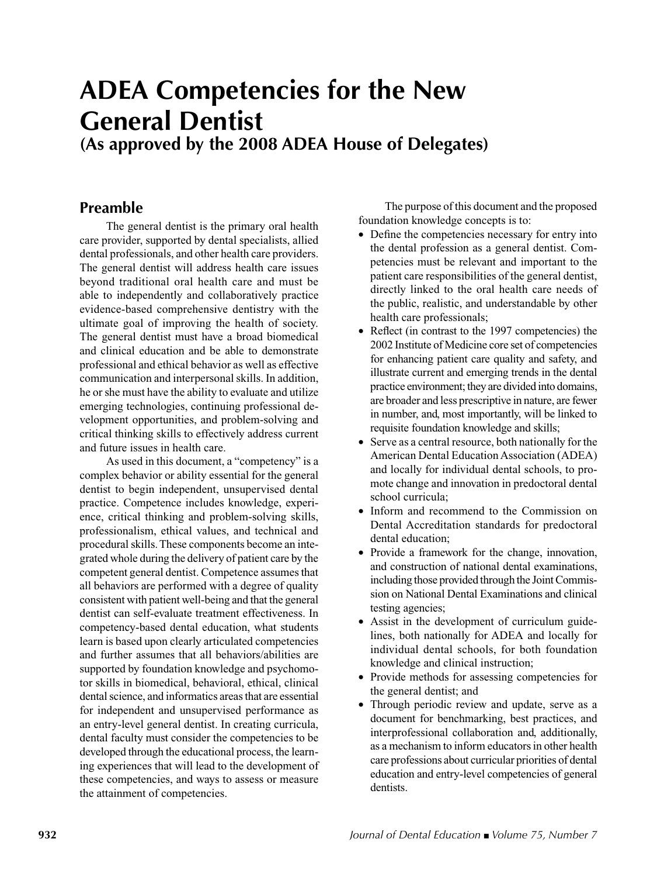# **ADEA Competencies for the New General Dentist (As approved by the 2008 ADEA House of Delegates)**

# **Preamble**

The general dentist is the primary oral health care provider, supported by dental specialists, allied dental professionals, and other health care providers. The general dentist will address health care issues beyond traditional oral health care and must be able to independently and collaboratively practice evidence-based comprehensive dentistry with the ultimate goal of improving the health of society. The general dentist must have a broad biomedical and clinical education and be able to demonstrate professional and ethical behavior as well as effective communication and interpersonal skills. In addition, he or she must have the ability to evaluate and utilize emerging technologies, continuing professional development opportunities, and problem-solving and critical thinking skills to effectively address current and future issues in health care.

As used in this document, a "competency" is a complex behavior or ability essential for the general dentist to begin independent, unsupervised dental practice. Competence includes knowledge, experience, critical thinking and problem-solving skills, professionalism, ethical values, and technical and procedural skills. These components become an integrated whole during the delivery of patient care by the competent general dentist. Competence assumes that all behaviors are performed with a degree of quality consistent with patient well-being and that the general dentist can self-evaluate treatment effectiveness. In competency-based dental education, what students learn is based upon clearly articulated competencies and further assumes that all behaviors/abilities are supported by foundation knowledge and psychomotor skills in biomedical, behavioral, ethical, clinical dental science, and informatics areas that are essential for independent and unsupervised performance as an entry-level general dentist. In creating curricula, dental faculty must consider the competencies to be developed through the educational process, the learning experiences that will lead to the development of these competencies, and ways to assess or measure the attainment of competencies.

The purpose of this document and the proposed foundation knowledge concepts is to:

- Define the competencies necessary for entry into the dental profession as a general dentist. Competencies must be relevant and important to the patient care responsibilities of the general dentist, directly linked to the oral health care needs of the public, realistic, and understandable by other health care professionals;
- Reflect (in contrast to the 1997 competencies) the 2002 Institute of Medicine core set of competencies for enhancing patient care quality and safety, and illustrate current and emerging trends in the dental practice environment; they are divided into domains, are broader and less prescriptive in nature, are fewer in number, and, most importantly, will be linked to requisite foundation knowledge and skills;
- Serve as a central resource, both nationally for the American Dental Education Association (ADEA) and locally for individual dental schools, to promote change and innovation in predoctoral dental school curricula;
- Inform and recommend to the Commission on Dental Accreditation standards for predoctoral dental education;
- Provide a framework for the change, innovation, and construction of national dental examinations, including those provided through the Joint Commission on National Dental Examinations and clinical testing agencies;
- Assist in the development of curriculum guidelines, both nationally for ADEA and locally for individual dental schools, for both foundation knowledge and clinical instruction;
- Provide methods for assessing competencies for the general dentist; and
- Through periodic review and update, serve as a document for benchmarking, best practices, and interprofessional collaboration and, additionally, as a mechanism to inform educators in other health care professions about curricular priorities of dental education and entry-level competencies of general dentists.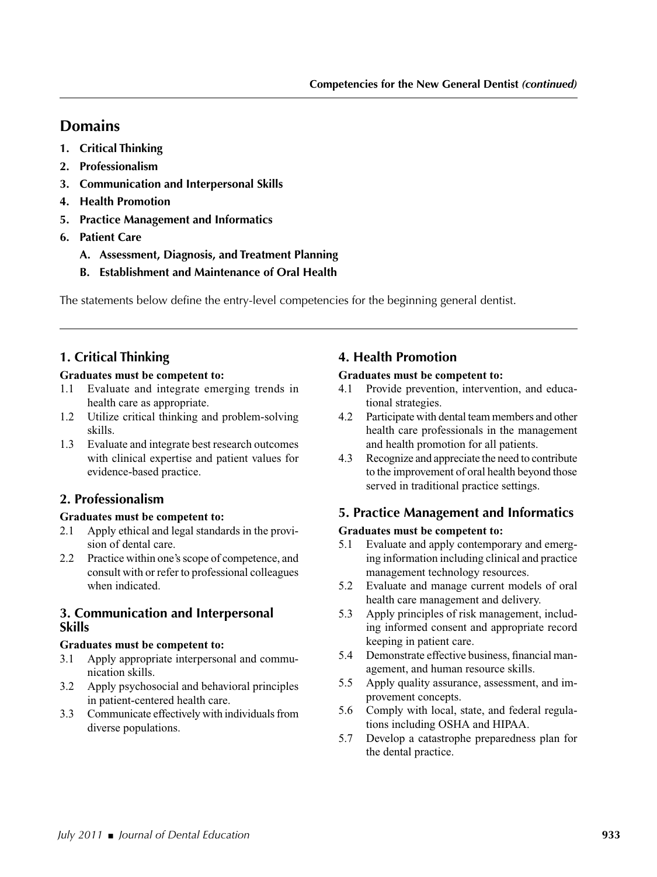## **Domains**

- **1. Critical Thinking**
- **2. Professionalism**
- **3. Communication and Interpersonal Skills**
- **4. Health Promotion**
- **5. Practice Management and Informatics**
- **6. Patient Care**
	- **A. Assessment, Diagnosis, and Treatment Planning**
	- **B. Establishment and Maintenance of Oral Health**

The statements below define the entry-level competencies for the beginning general dentist.

## **1. Critical Thinking**

#### **Graduates must be competent to:**

- 1.1 Evaluate and integrate emerging trends in health care as appropriate.
- 1.2 Utilize critical thinking and problem-solving skills.
- 1.3 Evaluate and integrate best research outcomes with clinical expertise and patient values for evidence-based practice.

## **2. Professionalism**

#### **Graduates must be competent to:**

- 2.1 Apply ethical and legal standards in the provision of dental care.
- 2.2 Practice within one's scope of competence, and consult with or refer to professional colleagues when indicated.

## **3. Communication and Interpersonal Skills**

#### **Graduates must be competent to:**

- 3.1 Apply appropriate interpersonal and communication skills.
- 3.2 Apply psychosocial and behavioral principles in patient-centered health care.
- 3.3 Communicate effectively with individuals from diverse populations.

## **4. Health Promotion**

#### **Graduates must be competent to:**

- 4.1 Provide prevention, intervention, and educational strategies.
- 4.2 Participate with dental team members and other health care professionals in the management and health promotion for all patients.
- 4.3 Recognize and appreciate the need to contribute to the improvement of oral health beyond those served in traditional practice settings.

## **5. Practice Management and Informatics**

#### **Graduates must be competent to:**

- 5.1 Evaluate and apply contemporary and emerging information including clinical and practice management technology resources.
- 5.2 Evaluate and manage current models of oral health care management and delivery.
- 5.3 Apply principles of risk management, including informed consent and appropriate record keeping in patient care.
- 5.4 Demonstrate effective business, financial management, and human resource skills.
- 5.5 Apply quality assurance, assessment, and improvement concepts.
- 5.6 Comply with local, state, and federal regulations including OSHA and HIPAA.
- 5.7 Develop a catastrophe preparedness plan for the dental practice.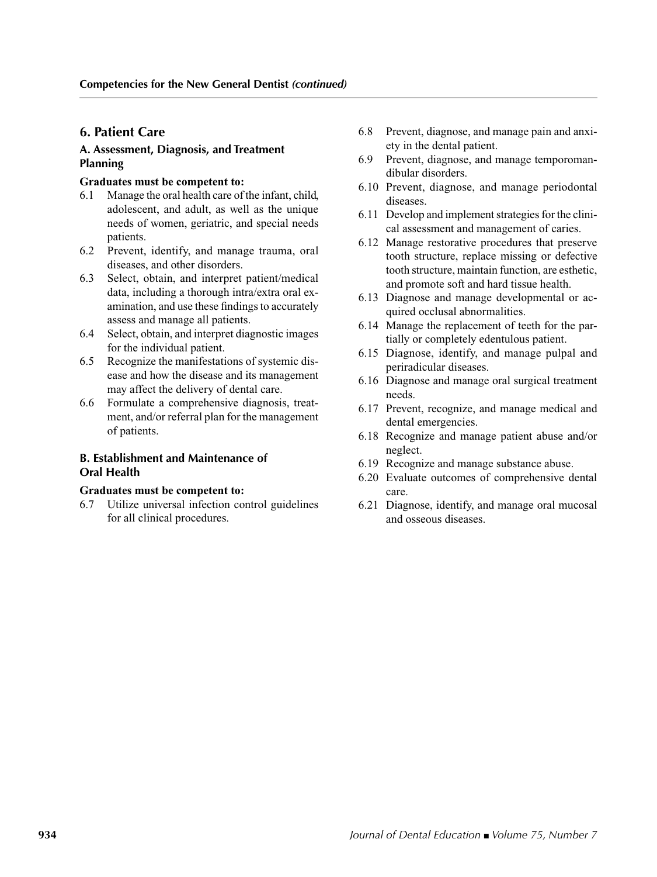#### **6. Patient Care**

#### **A. Assessment, Diagnosis, and Treatment Planning**

#### **Graduates must be competent to:**

- 6.1 Manage the oral health care of the infant, child, adolescent, and adult, as well as the unique needs of women, geriatric, and special needs patients.
- 6.2 Prevent, identify, and manage trauma, oral diseases, and other disorders.
- 6.3 Select, obtain, and interpret patient/medical data, including a thorough intra/extra oral examination, and use these findings to accurately assess and manage all patients.
- 6.4 Select, obtain, and interpret diagnostic images for the individual patient.
- 6.5 Recognize the manifestations of systemic disease and how the disease and its management may affect the delivery of dental care.
- 6.6 Formulate a comprehensive diagnosis, treatment, and/or referral plan for the management of patients.

#### **B. Establishment and Maintenance of Oral Health**

#### **Graduates must be competent to:**

6.7 Utilize universal infection control guidelines for all clinical procedures.

- 6.8 Prevent, diagnose, and manage pain and anxiety in the dental patient.
- 6.9 Prevent, diagnose, and manage temporomandibular disorders.
- 6.10 Prevent, diagnose, and manage periodontal diseases.
- 6.11 Develop and implement strategies for the clinical assessment and management of caries.
- 6.12 Manage restorative procedures that preserve tooth structure, replace missing or defective tooth structure, maintain function, are esthetic, and promote soft and hard tissue health.
- 6.13 Diagnose and manage developmental or acquired occlusal abnormalities.
- 6.14 Manage the replacement of teeth for the partially or completely edentulous patient.
- 6.15 Diagnose, identify, and manage pulpal and periradicular diseases.
- 6.16 Diagnose and manage oral surgical treatment needs.
- 6.17 Prevent, recognize, and manage medical and dental emergencies.
- 6.18 Recognize and manage patient abuse and/or neglect.
- 6.19 Recognize and manage substance abuse.
- 6.20 Evaluate outcomes of comprehensive dental care.
- 6.21 Diagnose, identify, and manage oral mucosal and osseous diseases.